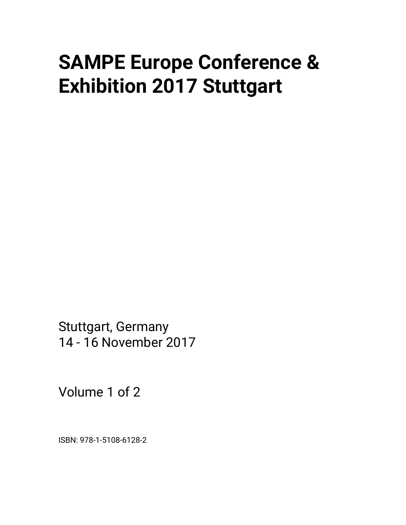# **SAMPE Europe Conference & Exhibition 2017 Stuttgart**

Stuttgart, Germany 14 - 16 November 2017

Volume 1 of 2

ISBN: 978-1-5108-6128-2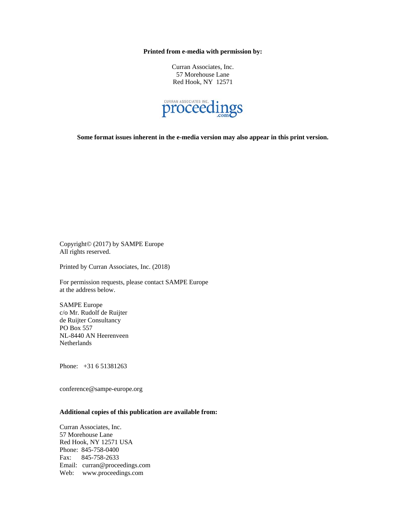**Printed from e-media with permission by:** 

Curran Associates, Inc. 57 Morehouse Lane Red Hook, NY 12571



**Some format issues inherent in the e-media version may also appear in this print version.** 

Copyright© (2017) by SAMPE Europe All rights reserved.

Printed by Curran Associates, Inc. (2018)

For permission requests, please contact SAMPE Europe at the address below.

SAMPE Europe c/o Mr. Rudolf de Ruijter de Ruijter Consultancy PO Box 557 NL-8440 AN Heerenveen Netherlands

Phone: +31 6 51381263

conference@sampe-europe.org

## **Additional copies of this publication are available from:**

Curran Associates, Inc. 57 Morehouse Lane Red Hook, NY 12571 USA Phone: 845-758-0400 Fax: 845-758-2633 Email: curran@proceedings.com Web: www.proceedings.com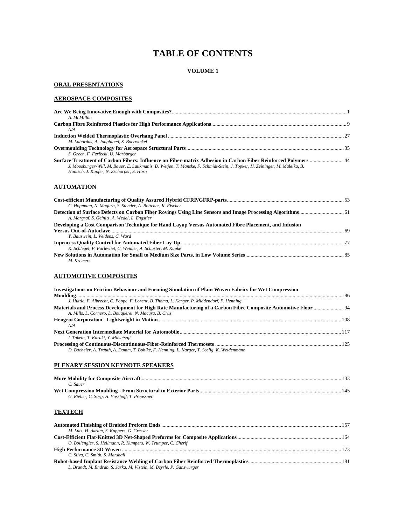## **TABLE OF CONTENTS**

## **VOLUME 1**

## **ORAL PRESENTATIONS**

## **AEROSPACE COMPOSITES**

| A. McMillan                                                                                                                                                              |  |
|--------------------------------------------------------------------------------------------------------------------------------------------------------------------------|--|
| N/A                                                                                                                                                                      |  |
|                                                                                                                                                                          |  |
| M. Labordus, A. Jongbloed, S. Boerwinkel                                                                                                                                 |  |
| S. Green, F. Ferfecki, U. Marburger<br>Surface Treatment of Carbon Fibers: Influence on Fiber-matrix Adhesion in Carbon Fiber Reinforced Polymers  44                    |  |
| J. Moosburger-Will, M. Bauer, E. Laukmanis, D. Wetjen, T. Manske, F. Schmidt-Stein, J. Topker, H. Zeininger, M. Maleika, B.<br>Honisch, J. Kupfer, N. Zschorper, S. Horn |  |

## **AUTOMATION**

| C. Hopmann, N. Magura, S. Stender, A. Bottcher, K. Fischer                                           |  |
|------------------------------------------------------------------------------------------------------|--|
| A. Margraf, S. Geinitz, A. Wedel, L. Engstler                                                        |  |
| Developing a Cost Comparison Technique for Hand Layup Versus Automated Fibre Placement, and Infusion |  |
| Y. Bauswein, L. Veldenz, C. Ward                                                                     |  |
|                                                                                                      |  |
| K. Schlegel, P. Parlevliet, C. Weimer, A. Schuster, M. Kupke                                         |  |
|                                                                                                      |  |
| M. Kremers                                                                                           |  |

## **AUTOMOTIVE COMPOSITES**

| Investigations on Friction Behaviour and Forming Simulation of Plain Woven Fabrics for Wet Compression         |  |
|----------------------------------------------------------------------------------------------------------------|--|
|                                                                                                                |  |
| J. Huttle, F. Albrecht, C. Poppe, F. Lorenz, B. Thoma, L. Karger, P. Middendorf, F. Henning                    |  |
| Materials and Process Development for High Rate Manufacturing of a Carbon Fibre Composite Automotive Floor  94 |  |
| A. Mills, L. Cornero, L. Bouquerel, N. Macura, B. Cruz.                                                        |  |
|                                                                                                                |  |
| N/A                                                                                                            |  |
|                                                                                                                |  |
| I. Taketa, T. Karaki, Y. Mitsutsuji                                                                            |  |
|                                                                                                                |  |
| D. Bucheler, A. Trauth, A. Damm, T. Bohlke, F. Henning, L. Karger, T. Seelig, K. Weidenmann                    |  |

## **PLENARY SESSION KEYNOTE SPEAKERS**

| C. Sauer                                      |     |
|-----------------------------------------------|-----|
|                                               | 145 |
| G. Rieber, C. Sorg, H. Vosshoff, T. Preussner |     |

## **TEXTECH**

| M. Lutz, H. Akram, S. Kuppers, G. Gresser                            |  |
|----------------------------------------------------------------------|--|
|                                                                      |  |
| O. Bollengier, S. Hellmann, R. Kumpers, W. Trumper, C. Cherif        |  |
|                                                                      |  |
| C. Silva, C. Smith, S. Marshall                                      |  |
|                                                                      |  |
| L. Brandt, M. Endrab, S. Jarka, M. Vistein, M. Beyrle, P. Ganswurger |  |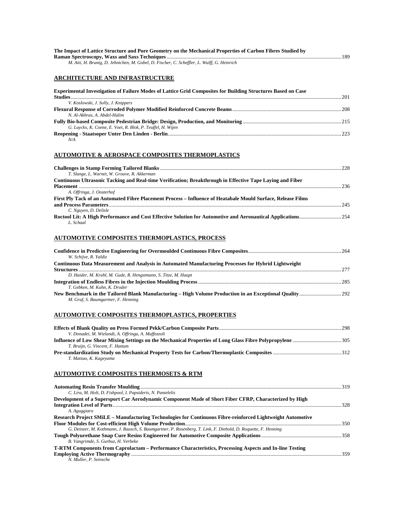| The Impact of Lattice Structure and Pore Geometry on the Mechanical Properties of Carbon Fibres Studied by |  |
|------------------------------------------------------------------------------------------------------------|--|
|                                                                                                            |  |
| M. Aiti, H. Brunig, D. Jehnichen, M. Gobel, D. Fischer, C. Scheffler, L. Wulff, G. Heinrich                |  |

## **ARCHITECTURE AND INFRASTRUCTURE**

| <b>Experimental Investigation of Failure Modes of Lattice Grid Composites for Building Structures Based on Case</b> | -201 |
|---------------------------------------------------------------------------------------------------------------------|------|
| V. Koslowski, J. Solly, J. Knippers                                                                                 |      |
|                                                                                                                     |      |
| N. Al-Akhras, A. Abdel-Halim                                                                                        |      |
|                                                                                                                     |      |
| G. Luyckx, K. Coene, E. Voet, R. Blok, P. Teuffel, H. Wijen                                                         |      |
|                                                                                                                     | 223  |
| N/A                                                                                                                 |      |

## **AUTOMOTIVE & AEROSPACE COMPOSITES THERMOPLASTICS**

|                                                                                                              | 228 |
|--------------------------------------------------------------------------------------------------------------|-----|
| T. Slange, L. Warnet, W. Grouve, R. Akkerman                                                                 |     |
| Continuous Ultrasonic Tacking and Real-time Verification; Breakthrough in Effective Tape Laving and Fiber    |     |
|                                                                                                              | 236 |
| A. Offringa, J. Oosterhof                                                                                    |     |
| First Ply Tack of an Automated Fibre Placement Process – Influence of Heatabale Mould Surface, Release Films |     |
|                                                                                                              | 245 |
| C. Nguyen, D. Delisle                                                                                        |     |
|                                                                                                              |     |
| L. Schaal                                                                                                    |     |

## **AUTOMOTIVE COMPOSITES THERMOPLASTICS, PROCESS**

| W. Schiive, R. Yaldiz                                                                                |     |
|------------------------------------------------------------------------------------------------------|-----|
| Continuous Data Measurement and Analysis in Automated Manufacturing Processes for Hybrid Lightweight |     |
|                                                                                                      | 277 |
| D. Haider, M. Krahl, M. Gude, R. Hengstmann, S. Titze, M. Haupt                                      |     |
|                                                                                                      |     |
| T. Gebken, M. Kuhn, K. Droder                                                                        |     |
| M. Graf, S. Baumgartner, F. Henning                                                                  |     |

## **AUTOMOTIVE COMPOSITES THERMOPLASTICS, PROPERTIES**

| V. Donadei, M. Wielandt, A. Offringa, A. Maffezzoli |  |
|-----------------------------------------------------|--|
|                                                     |  |
| T. Bruijn, G. Vincent, F. Hattum                    |  |
|                                                     |  |
| T. Matsuo, K. Kageyama                              |  |

## **AUTOMOTIVE COMPOSITES THERMOSETS & RTM**

| C. Lira, M. Holt, D. Fishpool, I. Papsideris, N. Pantelelis                                                    |  |
|----------------------------------------------------------------------------------------------------------------|--|
| Development of a Supersport Car Aerodynamic Component Made of Short Fiber CFRP, Characterized by High          |  |
|                                                                                                                |  |
| A. Aguggiaro                                                                                                   |  |
| Research Project SMILE – Manufacturing Technologies for Continuous Fibre-reinforced Lightweight Automotive     |  |
|                                                                                                                |  |
| G. Deinzer, M. Kothmann, J. Rausch, S. Baumgartner, P. Rosenberg, T. Link, F. Diebold, D. Roquette, F. Henning |  |
|                                                                                                                |  |
| B. Vangrimde, S. Gurbuz, H. Verbeke                                                                            |  |
| T-RTM Components from Caprolactam – Performance Characteristics, Processing Aspects and In-line Testing        |  |
|                                                                                                                |  |
| N. Muller. P. Seinsche                                                                                         |  |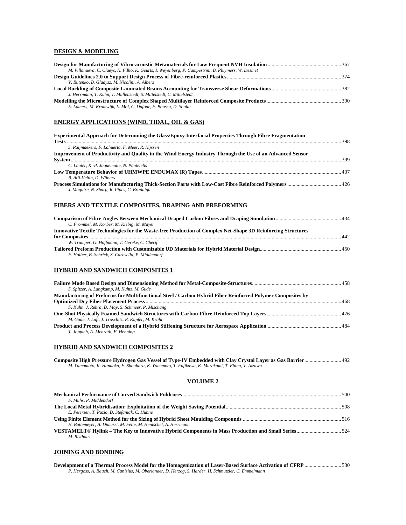## **DESIGN & MODELING**

| M. Villanueva, C. Claeys, N. Filho, K. Geurts, I. Weyenberg, P. Campestrini, B. Pluymers, W. Desmet |  |
|-----------------------------------------------------------------------------------------------------|--|
|                                                                                                     |  |
| V. Butenko, B. Gladysz, M. Nicolini, A. Albers                                                      |  |
|                                                                                                     |  |
|                                                                                                     |  |
| J. Herrmann, T. Kuhn, T. Mullenstedt, S. Mittelstedt, C. Mittelstedt                                |  |

#### **ENERGY APPLICATIONS (WIND, TIDAL, OIL & GAS)**

| <b>Experimental Approach for Determining the Glass/Epoxy Interfacial Properties Through Fibre Fragmentation</b> |      |
|-----------------------------------------------------------------------------------------------------------------|------|
|                                                                                                                 |      |
| S. Raijmaekers, F. Lahuerta, F. Meer, R. Nijssen                                                                |      |
| Improvement of Productivity and Quality in the Wind Energy Industry Through the Use of an Advanced Sensor       |      |
|                                                                                                                 | -399 |
| C. Lauter, K.-P. Jaquemotte, N. Pantelelis                                                                      |      |
|                                                                                                                 |      |
| B. Atli-Veltin, D. Wilbers                                                                                      |      |
| J. Maguire, N. Sharp, R. Pipes, C. Bradaigh                                                                     |      |
|                                                                                                                 |      |

## **FIBERS AND TEXTILE COMPOSITES, DRAPING AND PREFORMING**

| C. Frommel, M. Korber, M. Kiebig, M. Mayer                                                                   |     |
|--------------------------------------------------------------------------------------------------------------|-----|
| Innovative Textile Technologies for the Waste-free Production of Complex Net-Shape 3D Reinforcing Structures |     |
|                                                                                                              | 442 |
| W. Trumper, G. Hoffmann, T. Gereke, C. Cherif                                                                |     |
| F. Holber, B. Schrick, S. Carosella, P. Middendorf                                                           |     |

## **HYBRID AND SANDWICH COMPOSITES 1**

| S. Spitzer, A. Langkamp, M. Kuhtz, M. Gude                                                                                                                                                                                                                          |  |
|---------------------------------------------------------------------------------------------------------------------------------------------------------------------------------------------------------------------------------------------------------------------|--|
| Manufacturing of Preforms for Multifunctional Steel / Carbon Hybrid Fiber Reinforced Polymer Composites by                                                                                                                                                          |  |
|                                                                                                                                                                                                                                                                     |  |
| F. Kuhn, J. Rehra, D. May, S. Schmeer, P. Mischang                                                                                                                                                                                                                  |  |
|                                                                                                                                                                                                                                                                     |  |
| M. Gude, J. Luft, J. Troschitz, R. Kupfer, M. Krahl                                                                                                                                                                                                                 |  |
| Product and Process Development of a Hybrid Stiffening Structure for Aerospace Application <i>manumenoment</i> and Process Development of a Hybrid Stiffening Structure for Aerospace Application <i>manumenoment</i> and 484<br>T. Joppich, A. Menrath, F. Henning |  |

## **HYBRID AND SANDWICH COMPOSITES 2**

| M. Yamamoto, K. Hanaoka, F. Shouhara, K. Yonemoto, T. Fujikawa, K. Murakami, T. Ebina, T. Aizawa |  |  |
|--------------------------------------------------------------------------------------------------|--|--|

#### **VOLUME 2**

| F. Muhs, P. Middendorf                                                                             |  |
|----------------------------------------------------------------------------------------------------|--|
|                                                                                                    |  |
| E. Petersen, T. Puzio, D. Stefaniak, C. Huhne                                                      |  |
|                                                                                                    |  |
| H. Buttemeyer, A. Dimassi, M. Fette, M. Hentschel, A. Herrmann                                     |  |
| VESTAMELT® Hylink – The Key to Innovative Hybrid Components in Mass Production and Small Series524 |  |
| M. Risthaus                                                                                        |  |

## **JOINING AND BONDING**

| Development of a Thermal Process Model for the Homogenization of Laser-Based Surface Activation of CFRP 530 |  |
|-------------------------------------------------------------------------------------------------------------|--|
| P. Hergoss, A. Bauch, M. Canisius, M. Oberlander, D. Herzog, S. Harder, H. Schmutzler, C. Emmelmann         |  |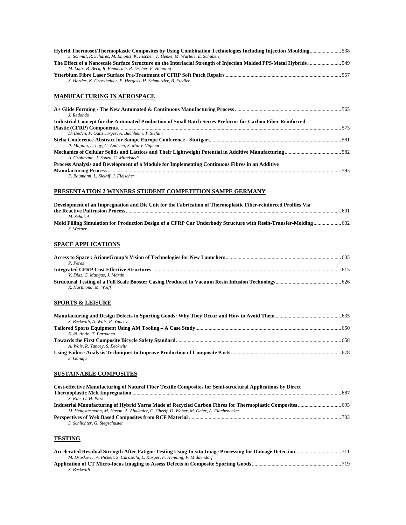| Hybrid Thermoset/Thermoplastic Composites by Using Combination Technologies Including Injection Moulding538<br>S. Schmitt, R. Schares, M. Emonts, K. Fischer, T. Henke, M. Wurtele, E. Schubert |  |
|-------------------------------------------------------------------------------------------------------------------------------------------------------------------------------------------------|--|
| The Effect of a Nanoscale Surface Structure on the Interfacial Strength of Injection Molded PPS-Metal Hybrids 549<br>M. Laux, B. Beck, R. Emmerich, R. Dreher, F. Henning                       |  |
| S. Harder, K. Grossheider, P. Hergoss, H. Schmutzler, B. Fiedler                                                                                                                                |  |
| <b>MANUFACTURING IN AEROSPACE</b>                                                                                                                                                               |  |
| J. Redondo                                                                                                                                                                                      |  |
| Industrial Concept for the Automated Production of Small Batch Series Preforms for Carbon Fiber Reinforced                                                                                      |  |
| D. Deden, P. Ganswurger, A. Buchheim, T. Stefani                                                                                                                                                |  |
| P. Magnin, L. Lay, G. Andrieu, S. Maire-Vigueur<br>A. Grobmann, J. Souza, C. Mittelstedt                                                                                                        |  |
| Process Analysis and Development of a Module for Implementing Continuous Fibres in an Additive                                                                                                  |  |
| F. Baumann, L. Sielaff, J. Fleischer                                                                                                                                                            |  |
| PRESENTATION 2 WINNERS STUDENT COMPETITION SAMPE GERMANY                                                                                                                                        |  |
| Development of an Impregnation and Die Unit for the Fabrication of Thermoplastic Fiber-reinforced Profiles Via                                                                                  |  |
| M. Schakel<br>Mold Filling Simulation for Production Design of a CFRP Car Underbody Structure with Resin-Transfer-Molding 602<br>S. Werner                                                      |  |
| <b>SPACE APPLICATIONS</b>                                                                                                                                                                       |  |
| P. Peres                                                                                                                                                                                        |  |
|                                                                                                                                                                                                 |  |
| V. Diaz, C. Mangas, J. Martin<br>R. Hartmond, M. Wolff                                                                                                                                          |  |
| <b>SPORTS &amp; LEISURE</b>                                                                                                                                                                     |  |
| S. Beckwith, A. Wais, R. Yancey                                                                                                                                                                 |  |
| K.-N. Antin, T. Parnanen                                                                                                                                                                        |  |
| A. Wais, R. Yancey, S. Beckwith                                                                                                                                                                 |  |
| S. Ganaja                                                                                                                                                                                       |  |
| <b>SUSTAINABLE COMPOSITES</b>                                                                                                                                                                   |  |
| Cost-effective Manufacturing of Natural Fiber Textile Composites for Semi-structural Applications by Direct                                                                                     |  |
| S. Kim, C.-H. Park                                                                                                                                                                              |  |
| M. Hengstermann, M. Hasan, A. Abdkader, C. Cherif, D. Weber, M. Geier, A. Flachenecker                                                                                                          |  |
| S. Schlichter, G. Stegschuster                                                                                                                                                                  |  |
| <b>TESTING</b>                                                                                                                                                                                  |  |
| M. Draskovic, A. Pickett, S. Carosella, L. Karger, F. Henning, P. Middendorf                                                                                                                    |  |
|                                                                                                                                                                                                 |  |

**Application of CT Micro-focus Imaging to Assess Defects in Composite Sporting Goods**....................................................................719 *S. Beckwith*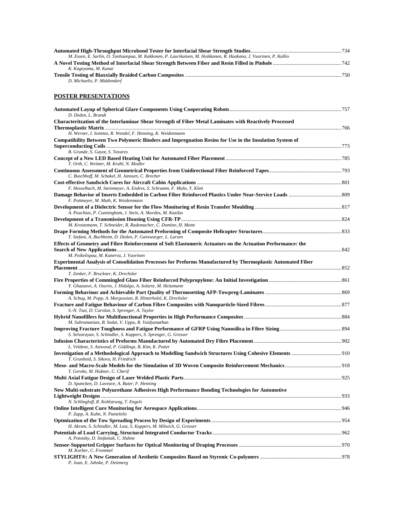| M. Essen, E. Sarlin, O. Tanhuanpaa, M. Kakkonen, P. Laurikainen, M. Hoikkanen, R. Haakana, J. Vuorinen, P. Kallio |      |
|-------------------------------------------------------------------------------------------------------------------|------|
|                                                                                                                   |      |
| K. Kageyama, M. Kanai                                                                                             |      |
|                                                                                                                   | -750 |
| D. Michaelis, P. Middendorf                                                                                       |      |

## **POSTER PRESENTATIONS**

| D. Deden, L. Brandt                                                                                                                        |  |
|--------------------------------------------------------------------------------------------------------------------------------------------|--|
| Characteritzation of the Interlaminar Shear Strength of Fiber Metal Laminates with Reactively Processed                                    |  |
| H. Werner, I. Sonmez, R. Wendel, F. Henning, K. Weidenmann                                                                                 |  |
| Compatibility Between Two Polymeric Binders and Impregnation Resins for Use in the Insulation System of<br>B. Grande, S. Gayot, S. Tavares |  |
| T. Orth, C. Weimer, M. Krahl, N. Modler                                                                                                    |  |
| C. Buschhoff, M. Schakel, H. Janssen, C. Brecher                                                                                           |  |
| F. Hesselbach, M. Steinmeyer, A. Endres, S. Schramm, F. Muhs, Y. Klett                                                                     |  |
| F. Pottmeyer, M. Muth, K. Weidenmann                                                                                                       |  |
| A. Pouchias, P. Cunningham, J. Stein, A. Skordos, M. Kazilas                                                                               |  |
|                                                                                                                                            |  |
| M. Kreutzmann, T. Schneider, R. Rademacher, C. Domine, H. Motte                                                                            |  |
| T. Stefani, A. Buchheim, D. Deden, P. Ganswurger, L. Larsen                                                                                |  |
| Effects of Geometry and Fibre Reinforcement of Soft Elastomeric Actuators on the Actuation Performance: the                                |  |
| M. Poikelispaa, M. Kanerva, J. Vuorinen                                                                                                    |  |
| Experimental Analysis of Consolidation Processes for Preforms Manufactured by Thermoplastic Automated Fiber                                |  |
| T. Zenker, F. Bruckner, K. Drechsler                                                                                                       |  |
|                                                                                                                                            |  |
| Y. Ghazzawi, A. Osorio, J. Hidalgo, A. Solarte, M. Heitzmann<br>A. Schug, M. Popp, A. Margossian, R. Hinterholzl, K. Drechsler             |  |
| S.-N. Tsai, D. Carolan, S. Sprenger, A. Taylor                                                                                             |  |
| M. Subramanian, B. Sedai, V. Uppu, R. Vaidyanathan                                                                                         |  |
| S. Selvarayan, S. Schindler, S. Kuppers, S. Sprenger, G. Gresser                                                                           |  |
|                                                                                                                                            |  |
| L. Veldenz, S. Astwood, P. Giddings, B. Kim, K. Potter<br>T. Grunheid, S. Sikora, H. Friedrich                                             |  |
| T. Gereke, M. Hubner, C. Cherif                                                                                                            |  |
| D. Spancken, D. Laveuve, A. Buter, F. Henning                                                                                              |  |
| New Multi-substrate Polyurethane Adhesives High Performance Bonding Technologies for Automotive                                            |  |
| N. Schlingloff, R. Kohlstrung, T. Engels                                                                                                   |  |
| P. Zapp, A. Kuhn, N. Pantelelis                                                                                                            |  |
| H. Akram, S. Schindler, M. Lutz, S. Kuppers, M. Milwich, G. Gresser                                                                        |  |
| A. Pototzky, D. Stefaniak, C. Huhne                                                                                                        |  |
| M. Korber, C. Frommel                                                                                                                      |  |
| P. Juan, E. Jahnke, P. Deitmerg                                                                                                            |  |